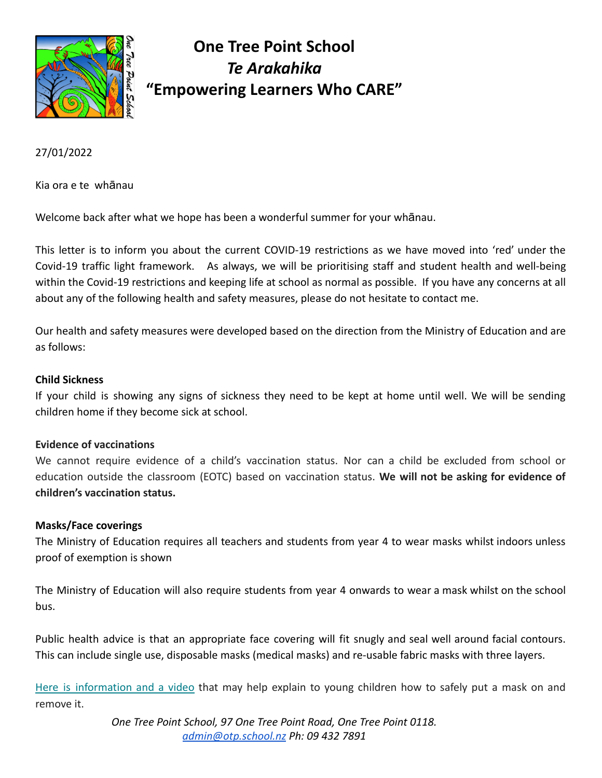

# **One Tree Point School** *Te Arakahika* **"Empowering Learners Who CARE"**

27/01/2022

Kia ora e te whānau

Welcome back after what we hope has been a wonderful summer for your whānau.

This letter is to inform you about the current COVID-19 restrictions as we have moved into 'red' under the Covid-19 traffic light framework. As always, we will be prioritising staff and student health and well-being within the Covid-19 restrictions and keeping life at school as normal as possible. If you have any concerns at all about any of the following health and safety measures, please do not hesitate to contact me.

Our health and safety measures were developed based on the direction from the Ministry of Education and are as follows:

#### **Child Sickness**

If your child is showing any signs of sickness they need to be kept at home until well. We will be sending children home if they become sick at school.

#### **Evidence of vaccinations**

We cannot require evidence of a child's vaccination status. Nor can a child be excluded from school or education outside the classroom (EOTC) based on vaccination status. **We will not be asking for evidence of children's vaccination status.**

#### **Masks/Face coverings**

The Ministry of Education requires all teachers and students from year 4 to wear masks whilst indoors unless proof of exemption is shown

The Ministry of Education will also require students from year 4 onwards to wear a mask whilst on the school bus.

Public health advice is that an appropriate face covering will fit snugly and seal well around facial contours. This can include single use, disposable masks (medical masks) and re-usable fabric masks with three layers.

Here is [information](https://govt.us3.list-manage.com/track/click?u=2f59fcd18a691d315b5a045cb&id=acb060e806&e=eab90f0c6c) and a video that may help explain to young children how to safely put a mask on and remove it.

> *One Tree Point School, 97 One Tree Point Road, One Tree Point 0118. [admin@otp.school.nz](mailto:admin@otp.school.nz) Ph: 09 432 7891*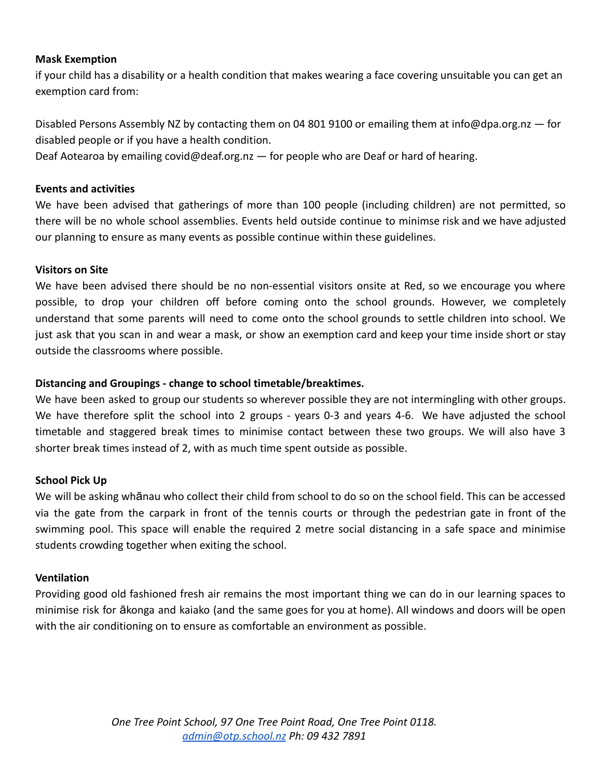# **Mask Exemption**

if your child has a disability or a health condition that makes wearing a face covering unsuitable you can get an exemption card from:

Disabled Persons Assembly NZ by contacting them on 04 801 9100 or emailing them at info@dpa.org.nz — for disabled people or if you have a health condition.

Deaf Aotearoa by emailing covid@deaf.org.nz — for people who are Deaf or hard of hearing.

# **Events and activities**

We have been advised that gatherings of more than 100 people (including children) are not permitted, so there will be no whole school assemblies. Events held outside continue to minimse risk and we have adjusted our planning to ensure as many events as possible continue within these guidelines.

# **Visitors on Site**

We have been advised there should be no non-essential visitors onsite at Red, so we encourage you where possible, to drop your children off before coming onto the school grounds. However, we completely understand that some parents will need to come onto the school grounds to settle children into school. We just ask that you scan in and wear a mask, or show an exemption card and keep your time inside short or stay outside the classrooms where possible.

# **Distancing and Groupings - change to school timetable/breaktimes.**

We have been asked to group our students so wherever possible they are not intermingling with other groups. We have therefore split the school into 2 groups - years 0-3 and years 4-6. We have adjusted the school timetable and staggered break times to minimise contact between these two groups. We will also have 3 shorter break times instead of 2, with as much time spent outside as possible.

#### **School Pick Up**

We will be asking whānau who collect their child from school to do so on the school field. This can be accessed via the gate from the carpark in front of the tennis courts or through the pedestrian gate in front of the swimming pool. This space will enable the required 2 metre social distancing in a safe space and minimise students crowding together when exiting the school.

#### **Ventilation**

Providing good old fashioned fresh air remains the most important thing we can do in our learning spaces to minimise risk for ākonga and kaiako (and the same goes for you at home). All windows and doors will be open with the air conditioning on to ensure as comfortable an environment as possible.